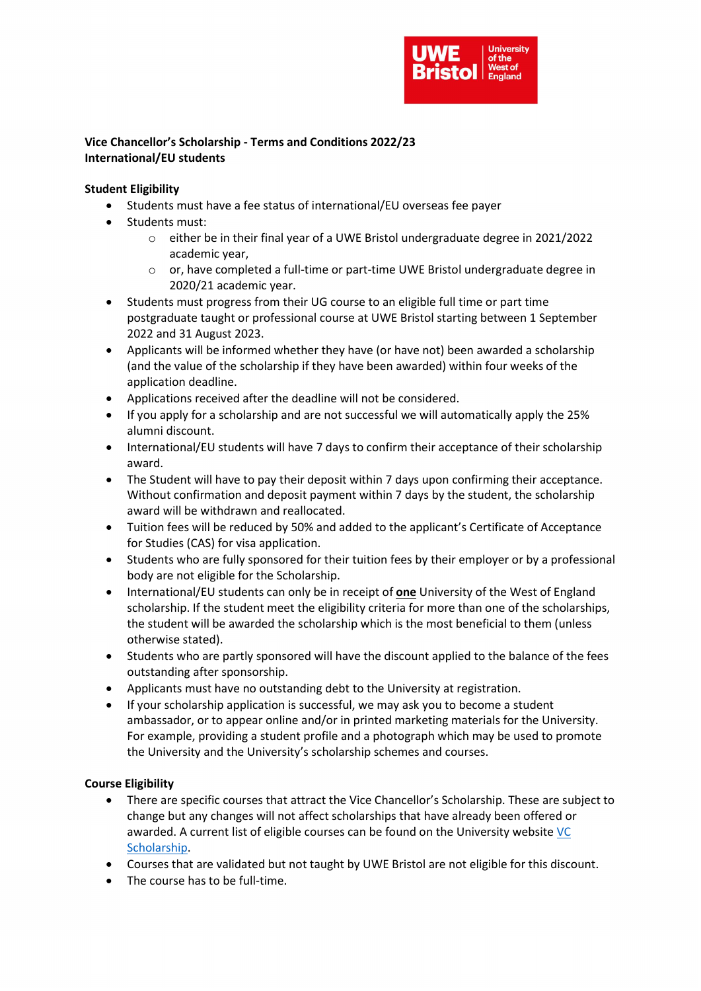

## Vice Chancellor's Scholarship - Terms and Conditions 2022/23 International/EU students

#### Student Eligibility

- Students must have a fee status of international/EU overseas fee payer
- Students must:
	- o either be in their final year of a UWE Bristol undergraduate degree in 2021/2022 academic year,
	- $\circ$  or, have completed a full-time or part-time UWE Bristol undergraduate degree in 2020/21 academic year.
- Students must progress from their UG course to an eligible full time or part time postgraduate taught or professional course at UWE Bristol starting between 1 September 2022 and 31 August 2023.
- Applicants will be informed whether they have (or have not) been awarded a scholarship (and the value of the scholarship if they have been awarded) within four weeks of the application deadline.
- Applications received after the deadline will not be considered.
- If you apply for a scholarship and are not successful we will automatically apply the 25% alumni discount.
- International/EU students will have 7 days to confirm their acceptance of their scholarship award.
- The Student will have to pay their deposit within 7 days upon confirming their acceptance. Without confirmation and deposit payment within 7 days by the student, the scholarship award will be withdrawn and reallocated.
- Tuition fees will be reduced by 50% and added to the applicant's Certificate of Acceptance for Studies (CAS) for visa application.
- Students who are fully sponsored for their tuition fees by their employer or by a professional body are not eligible for the Scholarship.
- International/EU students can only be in receipt of **one** University of the West of England scholarship. If the student meet the eligibility criteria for more than one of the scholarships, the student will be awarded the scholarship which is the most beneficial to them (unless otherwise stated).
- Students who are partly sponsored will have the discount applied to the balance of the fees outstanding after sponsorship.
- Applicants must have no outstanding debt to the University at registration.
- If your scholarship application is successful, we may ask you to become a student ambassador, or to appear online and/or in printed marketing materials for the University. For example, providing a student profile and a photograph which may be used to promote the University and the University's scholarship schemes and courses.

### Course Eligibility

- There are specific courses that attract the Vice Chancellor's Scholarship. These are subject to change but any changes will not affect scholarships that have already been offered or awarded. A current list of eligible courses can be found on the University website VC Scholarship.
- Courses that are validated but not taught by UWE Bristol are not eligible for this discount.
- The course has to be full-time.